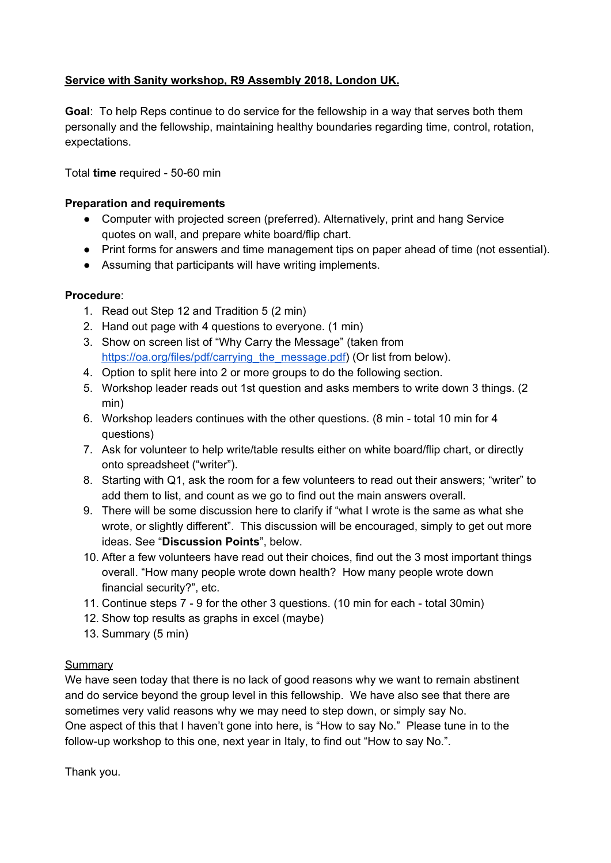## **Service with Sanity workshop, R9 Assembly 2018, London UK.**

**Goal**: To help Reps continue to do service for the fellowship in a way that serves both them personally and the fellowship, maintaining healthy boundaries regarding time, control, rotation, expectations.

Total **time** required - 50-60 min

### **Preparation and requirements**

- Computer with projected screen (preferred). Alternatively, print and hang Service quotes on wall, and prepare white board/flip chart.
- Print forms for answers and time management tips on paper ahead of time (not essential).
- Assuming that participants will have writing implements.

## **Procedure**:

- 1. Read out Step 12 and Tradition 5 (2 min)
- 2. Hand out page with 4 questions to everyone. (1 min)
- 3. Show on screen list of "Why Carry the Message" (taken from [https://oa.org/files/pdf/carrying\\_the\\_message.pdf](https://oa.org/files/pdf/carrying_the_message.pdf)) (Or list from below).
- 4. Option to split here into 2 or more groups to do the following section.
- 5. Workshop leader reads out 1st question and asks members to write down 3 things. (2 min)
- 6. Workshop leaders continues with the other questions. (8 min total 10 min for 4 questions)
- 7. Ask for volunteer to help write/table results either on white board/flip chart, or directly onto spreadsheet ("writer").
- 8. Starting with Q1, ask the room for a few volunteers to read out their answers; "writer" to add them to list, and count as we go to find out the main answers overall.
- 9. There will be some discussion here to clarify if "what I wrote is the same as what she wrote, or slightly different". This discussion will be encouraged, simply to get out more ideas. See "**Discussion Points**", below.
- 10. After a few volunteers have read out their choices, find out the 3 most important things overall. "How many people wrote down health? How many people wrote down financial security?", etc.
- 11. Continue steps 7 9 for the other 3 questions. (10 min for each total 30min)
- 12. Show top results as graphs in excel (maybe)
- 13. Summary (5 min)

#### **Summary**

We have seen today that there is no lack of good reasons why we want to remain abstinent and do service beyond the group level in this fellowship. We have also see that there are sometimes very valid reasons why we may need to step down, or simply say No. One aspect of this that I haven't gone into here, is "How to say No." Please tune in to the follow-up workshop to this one, next year in Italy, to find out "How to say No.".

Thank you.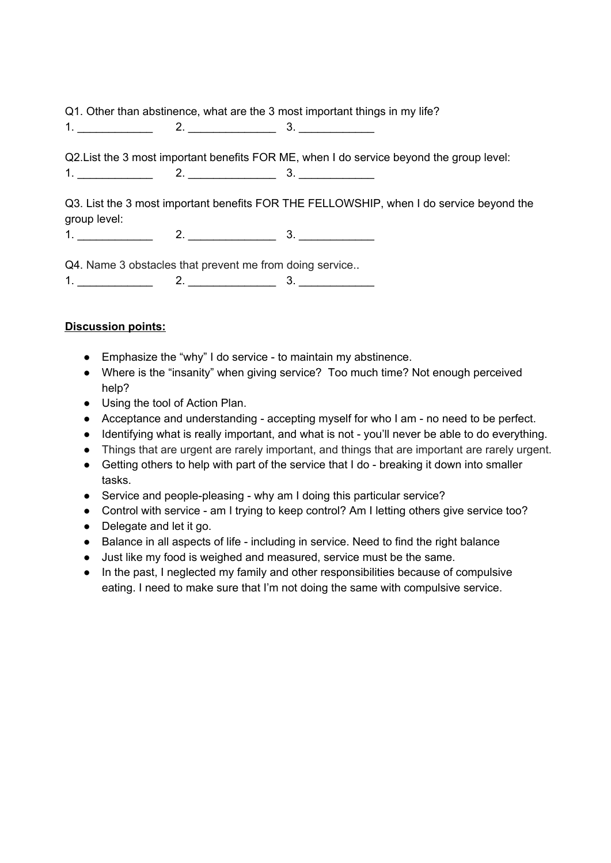Q1. Other than abstinence, what are the 3 most important things in my life?

1. \_\_\_\_\_\_\_\_\_\_\_\_ 2. \_\_\_\_\_\_\_\_\_\_\_\_\_\_ 3. \_\_\_\_\_\_\_\_\_\_\_\_

Q2.List the 3 most important benefits FOR ME, when I do service beyond the group level:  $1.$   $2.$   $3.$   $3.$ 

Q3. List the 3 most important benefits FOR THE FELLOWSHIP, when I do service beyond the group level:

1. \_\_\_\_\_\_\_\_\_\_\_\_ 2. \_\_\_\_\_\_\_\_\_\_\_\_\_\_ 3. \_\_\_\_\_\_\_\_\_\_\_\_

Q4. Name 3 obstacles that prevent me from doing service..

 $1.$   $2.$   $2.$   $3.$   $3.$ 

## **Discussion points:**

- Emphasize the "why" I do service to maintain my abstinence.
- Where is the "insanity" when giving service? Too much time? Not enough perceived help?
- Using the tool of Action Plan.
- Acceptance and understanding accepting myself for who I am no need to be perfect.
- Identifying what is really important, and what is not you'll never be able to do everything.
- Things that are urgent are rarely important, and things that are important are rarely urgent.
- Getting others to help with part of the service that I do breaking it down into smaller tasks.
- Service and people-pleasing why am I doing this particular service?
- Control with service am I trying to keep control? Am I letting others give service too?
- Delegate and let it go.
- Balance in all aspects of life including in service. Need to find the right balance
- Just like my food is weighed and measured, service must be the same.
- In the past, I neglected my family and other responsibilities because of compulsive eating. I need to make sure that I'm not doing the same with compulsive service.